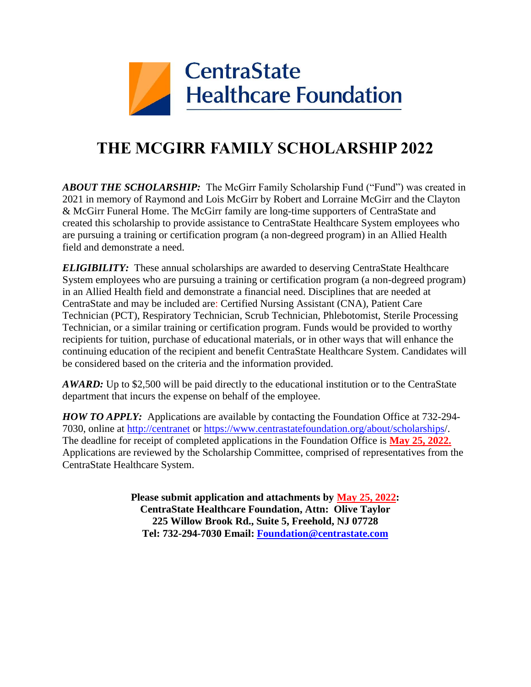

## **THE MCGIRR FAMILY SCHOLARSHIP 2022**

*ABOUT THE SCHOLARSHIP:* The McGirr Family Scholarship Fund ("Fund") was created in 2021 in memory of Raymond and Lois McGirr by Robert and Lorraine McGirr and the Clayton & McGirr Funeral Home. The McGirr family are long-time supporters of CentraState and created this scholarship to provide assistance to CentraState Healthcare System employees who are pursuing a training or certification program (a non-degreed program) in an Allied Health field and demonstrate a need.

*ELIGIBILITY:* These annual scholarships are awarded to deserving CentraState Healthcare System employees who are pursuing a training or certification program (a non-degreed program) in an Allied Health field and demonstrate a financial need. Disciplines that are needed at CentraState and may be included are: Certified Nursing Assistant (CNA), Patient Care Technician (PCT), Respiratory Technician, Scrub Technician, Phlebotomist, Sterile Processing Technician, or a similar training or certification program. Funds would be provided to worthy recipients for tuition, purchase of educational materials, or in other ways that will enhance the continuing education of the recipient and benefit CentraState Healthcare System. Candidates will be considered based on the criteria and the information provided.

*AWARD:* Up to \$2,500 will be paid directly to the educational institution or to the CentraState department that incurs the expense on behalf of the employee.

*HOW TO APPLY:* Applications are available by contacting the Foundation Office at 732-294- 7030, online at [http://centranet](http://centranet/) or<https://www.centrastatefoundation.org/about/scholarships/>. The deadline for receipt of completed applications in the Foundation Office is **May 25, 2022.** Applications are reviewed by the Scholarship Committee, comprised of representatives from the CentraState Healthcare System.

> **Please submit application and attachments by May 25, 2022: CentraState Healthcare Foundation, Attn: Olive Taylor 225 Willow Brook Rd., Suite 5, Freehold, NJ 07728 Tel: 732-294-7030 Email: [Foundation@centrastate.com](mailto:Foundation@centrastate.com)**